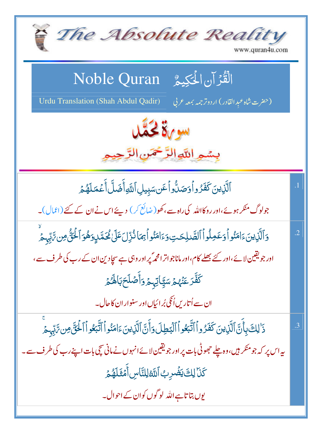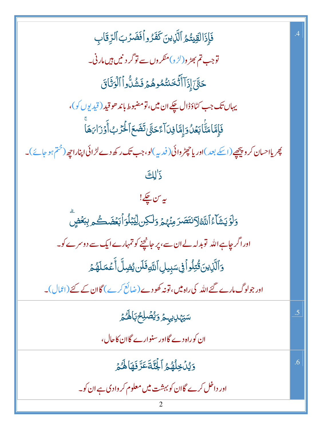فَإِذَالَقِيشُمُ ٱلَّذِينَ كَفَرُواْفَضَرُبَٱلرِّقَابِ توجب تم بھڑ و(لڑ و)منکر وں سے تو گر د نیں ہیں مار ٹی۔ حَقِّ ٓ إِذَآ أَثَّخَنتُمُوهُمَ فَشُلُّواۡ ٱلۡوَثَاقَ يہاں تک جب کٹاؤڈال چکے ان ميں، تومضبوط باند ھو قيد (قيد يوں کو)، فَإِمَّا مَتَّابَعُلُ وَإِمَّا فِىَ آءً حَتَّى تَضَعَ ٱلْحَرْبُ أَوَرْابَهَا پھر یااحسان کر و پیچھیے(اسکے بعد )اور یاحچٹر وائی(فدیہ)لو،جب تک رکھ دے لڑائی اپناراحی<sub>ٹ</sub> (<sup>ختم</sup> ہو جائے)۔ ذَلِكَ ىيەس چكے! <u>و</u>َلَوۡ يَشَأۡءُ ٱللَّهُ ٱلۡتَصَدَمِنۡهُمۡ وَلَٰكِن لِّيۡبَٰلُوَٱبۡعۡضَـٰكُم بِبَعۡضٍ اور اگر چاہے اللہ توبدلہ لے ان سے، پر جانچنے کو تمہارے ایک سے دوسرے کو۔ وَٱلَّذِينَ قُتِلُواً فِى سَبِيلِ ٱللَّهِ فَلَن يُضِلَّ أَعۡمَلَهُمۡ اور جولوگ مارے گئے اللہ کی راہ میں، تو نہ کھو دے (ضائع کرے ) گاان کے گئے (اعمال)۔ سَيَهْلِيهِمُ وَيُصۡلِحُ بَالۡهُمۡ 5 ان کوراہ دے گااور سنوارے گاان کاحال، وَيُدۡكِرُهُمُ ٱلۡجَٰٓئَةَ عَرَّفَهَاهُمۡمَّ  $.6$ اور داخل کرے گاان کو بہشت **میں معلوم** کر وادی ہے ان کو۔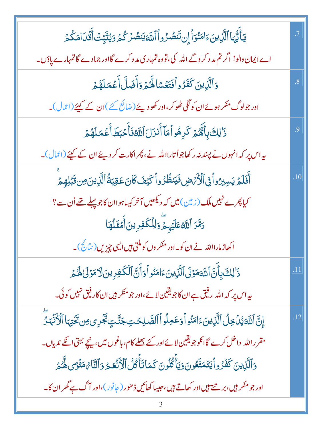| يٓٲۘٞێ۠ؠٓٵٱڷؘۜڒؚؠڹؘۦٙٳڡؘڹ۠ۅٙٲٳۣڹڗؘٮؘۨٮ۫ڞۢڒٛۅٲٱڷڶٲؾٮؘڟؙٮۯڴۮۏؽڎ۫ڹؚۜؾ۬ٲ۠ۊۘۘ۬ڎؘڶڡؘڴۮ                                 | .7                |
|------------------------------------------------------------------------------------------------------------------|-------------------|
| اے ایمان دالو! اگر تم مد د کر وگے اللہ کی، تووہ تمہاری مد د کرے گا اور جمادے گا تمہارے پاؤں۔                     |                   |
| وَٱلَّٰٓنِينَ كَفَرُواۡفَتَعۡسَاۤلَهُمۡ وَأَضَلَّاۡ أَعۡمَلَهُمۡ                                                 | $\boldsymbol{.8}$ |
| اور جولوگ منکر ہوئے ان کو لگی ٹھوکر ،اور کھو دیئے (ضائع کئے )ان کے کیئے (اعمال)۔                                 |                   |
| ذَٰ لِكَ بِأَهْمَ كَرِهُواۡ مَاۤ أَنزَلَ ٱللَّهُ فَأَحۡبَطَ أَعۡمَلَهُمۡ                                         | 9.                |
| یہ اس پر کہ انہوں نے پسند نہ رکھاجواُ تارااللہ نے، پھر اکارت کر دیئے ان کے کہیئے (اعمال)۔                        |                   |
| أَفَلَمُ يَسِبِرُواْ فِى ٱلْأَرْضِ فَيَنظُرُواْ كَيْفَ كَانَ عَقِبَةُ ٱلَّذِينَ مِن قَبَلِهِمْ                   | .10               |
| کیا پھرے نہیں ملک (زمین) میں کہ دیکھیں آخر کیساہواان کاجو پہلے تھے اُن سے ؟                                      |                   |
| دَمَّرَ ٱللَّهُ عَلَيۡہِ مِّ وَلِلۡكَفِرِینَ أَمۡثَلُهَا                                                         |                   |
| اکھاڑ مارااللہ نے ان کو۔اور منکر وں کو ملتی ہیں ایسی چیزیں (نتائج)۔                                              |                   |
| ذَالِكَ بِأَنَّ اللَّهَ مَوْلَى ٱلَّذِينَ ءَامَنُو أَوَأَنَّ ٱلْكَفِرِينَ لَا مَوْلَىٰ لَهُ مُ                   | .11               |
| ىيە اس پر كەاللە <sub>ر</sub> رفيق ہے ان كاجويقين لائے،اور جومنكر <del>ب</del> يں ان كار فيق نہيں كوئى۔          |                   |
| إِنَّ اللَّهَ يُدۡ خِلُ ٱلَّذِينَ ءَامَنُو أَوَعَمِلُواۡ ٱلصَّلِحَتِ جَنَّتٍ بَجُّرِى مِن تَحۡيۡمَا ٱلۡأَنۡهَٰزَ | .12               |
| مقرر الله   داخل کرے گا انکو جو یقین لا ئے اور کئے بھلے کام، باغوں میں، نیچے بہتی انکے ندیاں۔                    |                   |
| وَٱلَّذِينَ كَفَرُواۡ يَتَمَتَّعُونَ وَيَأۡكُلُونَ كَمَاتَأۡكُلُ ٱلۡأَنۡعَـٰمُ وَٱلنَّامُ مَثۡوَىٰ لَهُمۡ        |                   |
| اور جو منکر ہیں، بر تے ہیں اور کھاتے ہیں، حبیبا کھائیں ڈھور ( جانور )،اور آ گ ہے گھر ان کا۔                      |                   |
|                                                                                                                  |                   |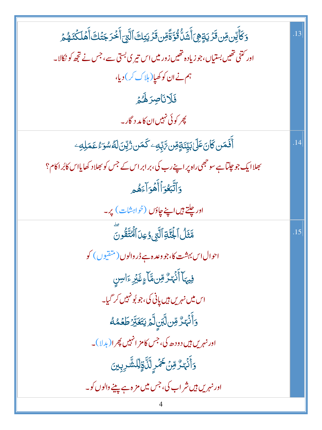| <u>و</u> َكَأَيِّن مِّن ثَرَيةٍۿِيَ أَشَلُّ ثُوَّةًمِّن ثَرَيتِكَ ٱلَّتِيَ أَخْرَجَتُكَ أَهۡلَكۡنَهُمۡ ۚ | .13 |
|----------------------------------------------------------------------------------------------------------|-----|
| اور کتنی تھیں بستیاں،جو زیادہ تھیں زور میں اس تیر ی بستی سے،جس نے تجھ کو نکالا۔                          |     |
| ہم نے ان کو کھیا( ہلاک کر) دیا،                                                                          |     |
| فَلَانَاصِرَهُمُ                                                                                         |     |
| چر کوئی نہیں ان کامد د گار۔                                                                              |     |
| ٲ <b>ؘٛۘۘۘۮٙ</b> ػ؈ <b>ڬ</b> ڷ؏ػڶۣڹێۣؽٙۊٟڡؚۜٞڽ؆ؚڹؚۜڢؚۦػؘڡٙڹۯ۠ؾٟٚڹؘڶ <i>ڴۺ</i> ۊۦ۠ڠڡٙڸڢؚۦ                 | .14 |
| بھلاایک جو چلتاہے سو حجھی راہ پر اپنے رب کی، بر ابر اس کے جس کو بھلاد کھایااس کابُر اکام؟                |     |
| وَاتَّبَعُوَاٰأَهُوَاۤءَهُمِ                                                                             |     |
| اور جلتے ہیں اپنے جاؤں (خواہشات) پر۔                                                                     |     |
| مَّثَلُ ٱلۡجُنَّةِ ٱلَّتِى وُعِدَ ٱلۡمُتَّقُونَ                                                          | .15 |
| احوال اس بہشت کا،جو وعدہ ہے ڈر والوں (متقیوں) کو                                                         |     |
| فِيهَآ أَنۡهَـٰرٌ مِّنۥمَّآءٍغَبَّرِۦٓاسِنِ                                                              |     |
| اس میں نہ <sub>ریں</sub> ہیں یانی کی،جو بُونہیں کر گیا۔                                                  |     |
| <u>و</u> ٙٲؙٮ۬ۘٛؠ۬ٮ۠ڒ۠ڡؚڹڷؖڹڹۣڷؖؽ۬ؾؘۼؘڹۜ <i>۠ڗ۫</i> ڟؘۼۿڡٛ                                               |     |
| اور نہریں ہیں دو دھ کی، جس کامز انہیں پھر ا(بدلا)۔                                                       |     |
| <u>ۅ</u> ٲؘٮ۬ۛؠۧ <i>ۮ۠</i> ڡؚۨۨڽ <del>ؘڂ</del> ٞؗڞٙڔڷڷۜۊٟڷڶۺ۠ڔۑڹؽ                                        |     |
| اور نہریں ہیں شر اب کی، جس میں مز ہ ہے پینے والوں کو۔                                                    |     |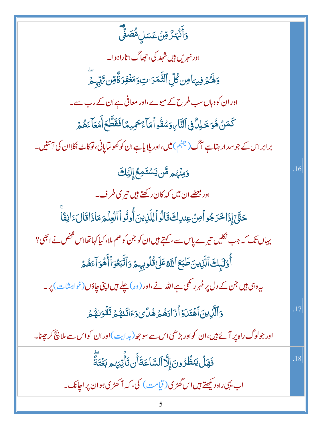| <u>ۅ</u> ٲۧۮ۬ؠۜڒ۠ۊڹۘ؏ؘۺڶ؆۠ڞڡۣۨؖٞ                                                                   |     |
|----------------------------------------------------------------------------------------------------|-----|
| اور نہریں <del>ہ</del> یں شہد کی، حج <i>م</i> اگ اتاراہو ا۔                                        |     |
| <u>ۅٙڟۘۘ۠ٛؽۄ۫ڣؠؠ</u> ؘٳڝ <i>ڰ۠</i> ڸۨؖٲڵؿ۠ۜۧڡؘڗٮؾۅؘڡؘۼؙڣۯۊٚٛ۠ڡؚۨڽ؆ؚٙڹۨؠ؞ؖ                          |     |
| اور ان کو دہاں سب طرح کے میوے،اور معافی ہے ان کے رب سے۔                                            |     |
| ػٙڡؘ <i>ڹٙ</i> ۿؙۏڂۘڸڵٞ؋ۣٱڶڹؖٞٵ <i>ڹ</i> ۏۺڨؙۅٱ۫ڡؘٲۼؘڂۿؚۑڡٵڧؘڦؘڟؖۼٲۧۿؘۼٲ <sub>ٷۿ۠ۿ</sub>           |     |
| برابراس کے جوسد ار ہتاہے آگ(جہنم)میں،اور پلایاہےان کو کھولٹاپانی،نوکاٹ نکلاان کی آنتیں۔            |     |
| <b>وَمِنۡهُم مَّن يَسۡتَمِعُۚ إِلَيۡكَ</b>                                                         | .16 |
| اور بعضے ان میں کہ کان رکھتے ہیں تیر کی طرف۔                                                       |     |
| حَتَّىٰٓ إِذَا خَرَجُواْمِنۡ عِندِكَ قَالُواۡ لِلَّذِينَ أُوتُواۡ ٱلۡفِلۡمَ مَاذَاقَالَ ءَانِفَاۤا |     |
| یہاں تک کہ جب نکلیں تیرے پاس سے ، کہتے ہیں ان کو جن کو علم ملا، کیا کہا تھااس شخص نے انھی؟         |     |
| أَوۡلَٰٓىٕكَٱلَّٰٓزِينَ طَبَعَٱلَّامُٓعَلَىٰ قُلُوبِيٖحۡ وَٱتَّبَعُوٓٱأَهُوَآءَهُمۡ                |     |
| یہ وہی ہیں جن کے دل پر مُہر رکھی ہے اللہ نے،اور (وہ) چلے ہیں اپنی چاؤں (خواہشات) پر۔               |     |
| وَٱلَّٰٓڶؚۣڮڹۘ۩هۡتَلَوۡاۡٓٓٓٓٓڗؘٳدَهُمۡ ِهُلَّیۡ وَءَاتَنهُمۡ تَقۡوَلهُمۡ                          | .17 |
| اور جولوگ راہ پر آئے ہیں،ان کواور بڑھی اس سے سو جھ ( ہدایت )اور ان کواس سے ملا نیچ کر جلنا۔        |     |
| فَهَلَ يَنظُرُونَ إِلَّا ٱلسَّاعَةَأَن تَأْتِيَهُم بَغُنَةً                                        | .18 |
| اب یہی راہ دیکھتے ہیں اس گھڑی( قیامت ) کی، کہ آ کھڑی ہو ان پر اچانک۔                               |     |
|                                                                                                    |     |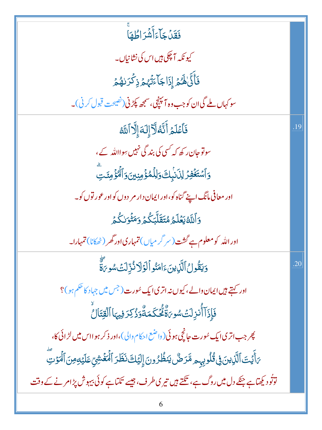| فَقَلۡ جَآءَأَشۡرَاطُهَا                                                                                  |     |
|-----------------------------------------------------------------------------------------------------------|-----|
| کیو نکہ آچکی ہیں اس کی نشانیاں۔                                                                           |     |
| فَأَنَّىٰٰلَهُمۡۚ إِذَاجَآءَتُهُمۡ ذِكۡرَالِهُمۡ                                                          |     |
| سو کہاں ملے گی ان کو جب وہ آ مپنچی، سمجھ پکڑنی(نصیحت قبول کرنی)۔                                          |     |
| فَأَعۡلَمۡ أَنَّهُ لَآ إِلَٰٓ إِلَّا ٱللَّهُ                                                              | .19 |
| سونوجان رکھ کہ <sup>کس</sup> ی کی بند گی نہیں سوااللہ کے،                                                 |     |
| <u>ۅ</u> ٲۺؾؘۼۘۛڣۯٳڸۯؘڹؗۑڬۅؘڶؚڶۿۏؙٛڡؚڹؾ؈ؘٲڵۘٷٛڡؚٸؘؾؖ                                                      |     |
| اور معافی مانگ اپنے گناہ کو،اور ایمان دار مر دوں کواور عور توں کو۔                                        |     |
| وَٱللَّهُ يَعۡلَمُ مُتَقَلِّبَكُمۡ وَمَثۡوَلِكُمۡ                                                         |     |
| اور الله کومعلوم ہے گشت (سر گر میاں) تمہاری اور گھر (ٹھکانا) تمہارا۔                                      |     |
| وَيَقُولُ ٱلَّذِينَءَامَنُواْلَوَلَا ذُرِّلَتَ سُوِيَّةً                                                  | .20 |
| اور کہتے <b>ہیں ایمان د</b> الے، کیوں نہ اتری ایک سُورت ( <sup>جس</sup> میں جہاد کا حکم ہو )؟             |     |
| فَإِذَآ أُنزِلَتۡ سُوِىَةٌ مُّحۡكَمَةٌوَذُكِرَ فِيهَا ٱلۡقِتَالُ                                          |     |
| چر جب اتری ایک <sub>شو</sub> رت جانچی ہوئی(واضع احکام والی)،اور ذکر ہو ااس میں لڑائی کا،                  |     |
| ىَ أَيۡتَ ٱلَّذِينَ فِى قُلُوبِهِم مَّرَضٌ يَنظُرُونَ إِلَيۡكَ نَظَرَ ٱلۡمَغۡشِيِّ عَلَيۡوِمِنَ ٱلۡمَوۡتِ |     |
| توتُود بکھتاہے جنکے دل میں روگ ہے، تکتے ہیں تیر ی طرف، جیسے تکتاہے کوئی بیہوش پڑامرنے کے وقت              |     |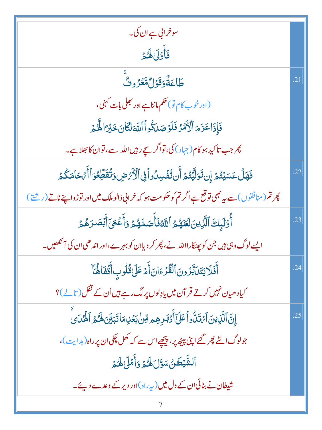| سوخراني ہے ان کی۔                                                                                   |                  |
|-----------------------------------------------------------------------------------------------------|------------------|
| فَأَوْلَىٰ لَهُمْ                                                                                   |                  |
| ڟؘٵۼۘڎ۠ۏ <i>ۊٙ</i> ۯڷۿٷۯۅٮ۠ۨ                                                                        | $\overline{.21}$ |
| (اور خو ب کام تو) حکم ماننا ہے اور بھلی بات کہنی ،                                                  |                  |
| فَإِذَا عَزَمَ ٱلْأَمۡدُ فَلَوۡصَلَقُواۡ ٱللَّهَ لَٰٓكَانَ خَبۡرَ ۚ الْمُحۡمَرِ                     |                  |
| چر جب تاکید ہو کام(چہاد) کی، تواگر سچے رہیں اللہ سے، توان کا بھلاہے۔                                |                  |
| فَهَلْ عَسَيۡتُمۡ إِن تَوَلَّيۡتُمۡ أَن تُفۡسِدُواۡ فِى ٱلۡأَرۡهَضِ وَتُقَطِّعُوٓ ٱ أَهۡحَامَكُمۡ   | .22              |
| چرتم(منافقوں) سے یہ بھی تو قع ہے اگر تم کو حکومت ہو کہ خرانی ڈالوملک میں اور توڑواپنے ناتے (ریشتے ) |                  |
| أُوَّلَيِكَ ٱلَّذِينَلَغَنَهُمُ ٱللَّهُ فَأَصَدَّهُمۡ وَأَعۡعَىٰٓأَبۡصَدَهُمۡ                       | .23              |
| ایسے لوگ وہی ہیں جن کو پھٹکارااللہ نے، پھر کر دیاان کو بہ <sub>ر</sub> ے،اور اندھی ان کی آئمھیں۔    |                  |
| أَفَلَا يَتَدَبَّرُونَ ٱلْقُرْءَانَ أَمْرَعَلَىٰ قُلُوبِ أَقَّفَاهُآ                                | .24              |
| کیادھیان نہیں کرتے قر آن میں یادِلوں پرلگ رہے ہیں اُن کے قفل (تالے)؟                                |                  |
| إِنَّ ٱلَّذِينَ ٱمَتَلُّواۡ عَلَىٰٓ أَدۡبَرِهِم مِّنۡ بَعۡلِمَا تَبَيِّنَ لَهُ مُ ٱلۡمُنَى          | .25              |
| جولوگ الٹے پھر گئے اپنی پیٹھ پر، پیچھے اس سے کہ کھل چکی ان پر راہ (ہدایت)،                          |                  |
| ٱلشَّيْطَنُ سَوَّلَ لَهُمْ وَأَمَلَىٰ لَهُمْ                                                        |                  |
| شیطان نے بنائی ان کے دل میں (پ <sub>یر</sub> راہ)اور دیر کے وعدے دیئے۔                              |                  |
|                                                                                                     |                  |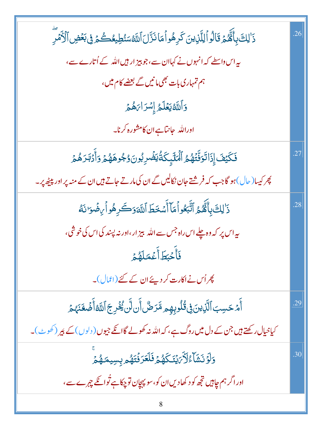| ذَٰ لِكَ بِأَنَّهُمۡ قَالُواۡ لِلَّذِينَ كَرِهُواۡ مَانَزَّلَ ٱللَّهُسَنُطِيعُكُمۡ فِى بَعۡضِ ٱلۡأَمۡرِ | .26 |
|---------------------------------------------------------------------------------------------------------|-----|
| بیراس واسطے کہ انہوں نے کہاان سے،جو پیز ار ہیں اللہ کے اُتارے سے،                                       |     |
| ہم تمہاری بات بھی مانیں گے بعضے کام میں،                                                                |     |
| وَٱللَّهُ يَعۡلَمُ إِسۡرَاٰءَهُمۡ                                                                       |     |
| اوراللہ جانتاہےان کامشورہ کرنا۔                                                                         |     |
| فَكَيْفَ إِذَاتَوَنَّتَهُمُ ٱلۡمَلَٓبِكَةُٰيَضۡرِبُونَوُجُوهَهُمۡ وَأَدۡبَدَهُمۡ                        | .27 |
| پھر کیسا(حال)ہو گاجب کہ فرشتے جان نکالیں گے ان کی مارتے جاتے ہیں ان کے منہ پر اور پی <u>ٹ</u> ھ پر۔     |     |
| ذَٰ لِكَ بِأَنَّهُمُ ٱتَّبَعُواُمَاۤ أَسۡخَطَ ٱللَّهَوَكَرِهُواۡ مِضۡوَا نَهُ                           | .28 |
| ىيەاس پر كەوەپلے اس راہ جس سے الله بېز ار،اور نە پسند كى اس كى خوشى،                                    |     |
| فأُحۡبَطَأَعۡمَلَهُمۡ                                                                                   |     |
| پھراُس نےاکارت کر دیئے ان کے گئے (اٹمال)۔                                                               |     |
| أَمْ حَسِبَ ٱلَّذِينَ فِى قُلُوبِهِم مَّرَضٌ أَن لَّن يُخُرِجَ ٱللَّهُ أَضَّعَنَهُمُ                    | .29 |
| کیاخیال رکھتے ہیں جن کے دل میں روگ ہے، کہ اللہ نہ کھولے گاانکے جیوں ( دلوں ) کے پیر (کھوٹ )۔            |     |
| وَلَوۡ نَشَآءُ لَأَيَٰٓ يُنَكَهُمۡ فَلَعَرَفَتَهُمۡ بِسِيمَهُمۡ                                         | .30 |
| اور اگر ہم جاہیں تجھ کو د کھادیں ان کو،سو پہچان تو چکاہے تُوائکے چہرے سے،                               |     |
| 8                                                                                                       |     |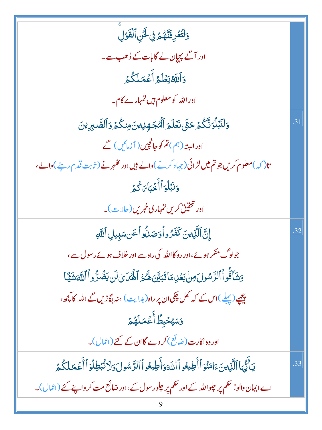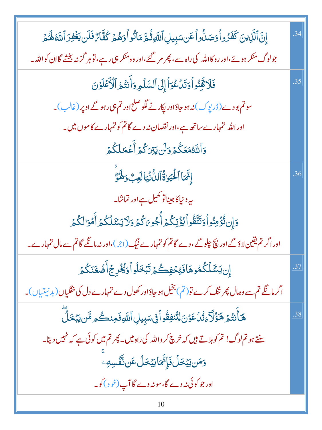| إِنَّ ٱلَّذِينَ كَفَرُواْوَصَلُّواْعَن سَبِيلِ ٱللَّهِ ثُمَّ مَانُواْوَهُمۡ كُفَّاءٌ فَلَن يَغۡفِرَ ٱللَّهُ هَٰمَ | .34 |
|-------------------------------------------------------------------------------------------------------------------|-----|
| جولوگ منکر ہوئے،اور روکااللہ کی راہ سے ، پھر مر گئے ،اور وہ منکر ہی رہے ،قوہر گزنہ بخشے گاان کواللہ۔              |     |
| فَلَا قَفِنُواْوَتَدَٰعُوَاْإِلَى ٱلسَّلْمِ وَأَنتُمُ ٱلْأَعَلَوُنَ                                               | .35 |
| سوتم بودے (ڈرپوک) نہ ہو جاؤاور پکارنے لگوصلح اور تم ہی رہوگے اوپر (غالب )۔                                        |     |
| اور اللہ تمہارے ساتھ ہے،اور نقصان نہ دے گاتم کو تمہارے کاموں میں۔                                                 |     |
| وَٱللَّهُمَعَكُمُ وَلَن يَبْرَكُمُ أَعۡمَلَكُمۡ                                                                   |     |
| إِنَّمَا ٱلْحَيَوٰةُ ٱلدُّنۡيَالَعِبَّ وَهَٰوَّ                                                                   | .36 |
| یہ دنیاکا جیناتو کھیل ہے اور تماشا۔                                                                               |     |
| وَإِن تُؤْمِنُواْوَتَتَّقُواْ يُؤْتِكُمْ أُجُو بَكُمُ وَلَا يَشَلَّكُمُ أَمُوَالِكُمُ                             |     |
| اور اگر تم یقین لاؤگے اور پچ چلوگے، دے گا تم کو تمہارے نیگ(ج)،اور نہ مانگے گا تم سے مال تمہارے۔                   |     |
| إِن يَشَلَّكُمُوهَافَيْخَفِكُمُ تَبْخَلُواْوَيُخْرِجُ أَضُغَنَكُمُ                                                | .37 |
| اگر مانگے تم سے وہ مال پھر تنگ کرے تو ( تم ) بخیل ہو جاؤاور کھول دے تمہارے دل کی خفگیاں ( بد نیتیاں )۔            |     |
| ۿٙٲۜٮ۬ؾ۠ؽۄڰٷ۠ٳۜڒٷڷۯٷۺٳڶؾ۠ڹڣؚۊ۠ۏٲڣۣ؊ڽؚۑڸٲڵڶڸۅڣؘۼڹٮػ۠ۄۺۜٙؾڹڂڵؖ                                                      | .38 |
| سنتے ہو تم لوگ! تم کوبلاتے ہیں کہ خرچ کر واللہ کی راہ میں۔ پھر تم میں کوئی ہے کہ نہیں دیتا۔                       |     |
| <b>ۯ<sup>ؚ</sup>ڡؘڹؾڹڂڶ؋ؘٳ۪٭ٞؖ</b> ڡؘٳؾڹڂڷٴٙڹٮ۠ۜڨٞڛڢۨ                                                             |     |
| اور جو کوئی نہ دے گا،سونہ دے گا آپ(خود)کو۔                                                                        |     |
|                                                                                                                   |     |